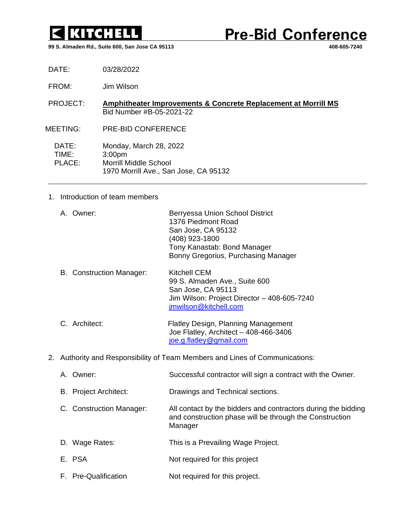

**Pre-Bid Conference** 

**99 S. Almaden Rd., Suite 600, San Jose CA 95113 408-605-7240**

DATE: 03/28/2022

- FROM: Jim Wilson
- PROJECT: **Amphitheater Improvements & Concrete Replacement at Morrill MS** Bid Number #B-05-2021-22
- MEETING: PRE-BID CONFERENCE

DATE: Monday, March 28, 2022 TIME: 3:00pm PLACE: Morrill Middle School 1970 Morrill Ave., San Jose, CA 95132

## 1. Introduction of team members

|  | A. Owner: | Berryessa Union School District     |
|--|-----------|-------------------------------------|
|  |           | 1376 Piedmont Road                  |
|  |           | San Jose, CA 95132                  |
|  |           | (408) 923-1800                      |
|  |           | Tony Kanastab: Bond Manager         |
|  |           | Bonny Gregorius, Purchasing Manager |
|  |           |                                     |

- B. Construction Manager: Kitchell CEM 99 S. Almaden Ave., Suite 600 San Jose, CA 95113 Jim Wilson: Project Director – 408-605-7240 [jmwilson@kitchell.com](mailto:jmwilson@kitchell.com)
- C. Architect: Flatley Design, Planning Management Joe Flatley, Architect – 408-466-3406 [joe.g.flatley@gmail.com](mailto:joe.g.flatley@gmail.com)
- 2. Authority and Responsibility of Team Members and Lines of Communications:

| A. Owner:                    | Successful contractor will sign a contract with the Owner.                                                                          |
|------------------------------|-------------------------------------------------------------------------------------------------------------------------------------|
| <b>B.</b> Project Architect: | Drawings and Technical sections.                                                                                                    |
| C. Construction Manager:     | All contact by the bidders and contractors during the bidding<br>and construction phase will be through the Construction<br>Manager |
| D. Wage Rates:               | This is a Prevailing Wage Project.                                                                                                  |
| E. PSA                       | Not required for this project                                                                                                       |
| F. Pre-Qualification         | Not required for this project.                                                                                                      |